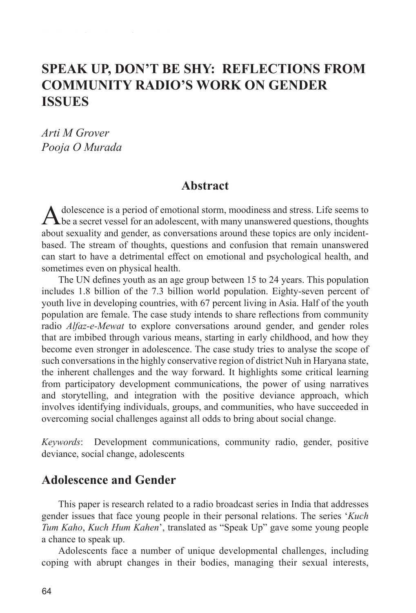# **SPEAK UP, DON'T BE SHY: REFLECTIONS FROM COMMUNITY RADIO'S WORK ON GENDER ISSUES**

*Arti M Grover Pooja O Murada*

#### **Abstract**

Adolescence is a period of emotional storm, moodiness and stress. Life seems to **T** be a secret vessel for an adolescent, with many unanswered questions, thoughts about sexuality and gender, as conversations around these topics are only incidentbased. The stream of thoughts, questions and confusion that remain unanswered can start to have a detrimental effect on emotional and psychological health, and sometimes even on physical health.

The UN defines youth as an age group between 15 to 24 years. This population includes 1.8 billion of the 7.3 billion world population. Eighty-seven percent of youth live in developing countries, with 67 percent living in Asia. Half of the youth population are female. The case study intends to share reflections from community radio *Alfaz-e-Mewat* to explore conversations around gender, and gender roles that are imbibed through various means, starting in early childhood, and how they become even stronger in adolescence. The case study tries to analyse the scope of such conversations in the highly conservative region of district Nuh in Haryana state, the inherent challenges and the way forward. It highlights some critical learning from participatory development communications, the power of using narratives and storytelling, and integration with the positive deviance approach, which involves identifying individuals, groups, and communities, who have succeeded in overcoming social challenges against all odds to bring about social change.

*Keywords*: Development communications, community radio, gender, positive deviance, social change, adolescents

#### **Adolescence and Gender**

This paper is research related to a radio broadcast series in India that addresses gender issues that face young people in their personal relations. The series '*Kuch Tum Kaho*, *Kuch Hum Kahen*', translated as "Speak Up" gave some young people a chance to speak up.

Adolescents face a number of unique developmental challenges, including coping with abrupt changes in their bodies, managing their sexual interests,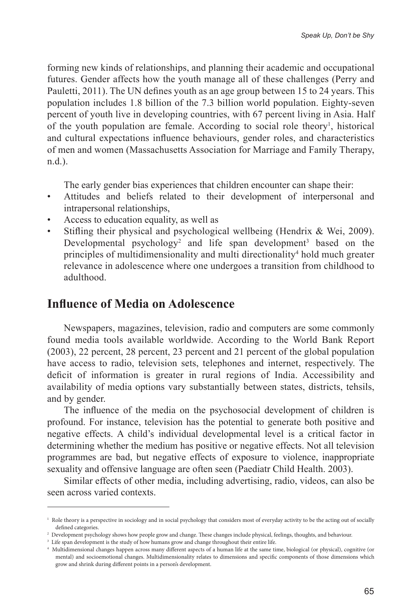forming new kinds of relationships, and planning their academic and occupational futures. Gender affects how the youth manage all of these challenges (Perry and Pauletti, 2011). The UN defines youth as an age group between 15 to 24 years. This population includes 1.8 billion of the 7.3 billion world population. Eighty-seven percent of youth live in developing countries, with 67 percent living in Asia. Half of the youth population are female. According to social role theory<sup>1</sup>, historical and cultural expectations influence behaviours, gender roles, and characteristics of men and women (Massachusetts Association for Marriage and Family Therapy, n.d.).

The early gender bias experiences that children encounter can shape their:

- Attitudes and beliefs related to their development of interpersonal and intrapersonal relationships,
- Access to education equality, as well as
- Stifling their physical and psychological wellbeing (Hendrix & Wei, 2009). Developmental psychology<sup>2</sup> and life span development<sup>3</sup> based on the principles of multidimensionality and multi directionality<sup>4</sup> hold much greater relevance in adolescence where one undergoes a transition from childhood to adulthood.

#### **Influence of Media on Adolescence**

Newspapers, magazines, television, radio and computers are some commonly found media tools available worldwide. According to the World Bank Report (2003), 22 percent, 28 percent, 23 percent and 21 percent of the global population have access to radio, television sets, telephones and internet, respectively. The deficit of information is greater in rural regions of India. Accessibility and availability of media options vary substantially between states, districts, tehsils, and by gender.

The influence of the media on the psychosocial development of children is profound. For instance, television has the potential to generate both positive and negative effects. A child's individual developmental level is a critical factor in determining whether the medium has positive or negative effects. Not all television programmes are bad, but negative effects of exposure to violence, inappropriate sexuality and offensive language are often seen (Paediatr Child Health. 2003).

Similar effects of other media, including advertising, radio, videos, can also be seen across varied contexts.

<sup>1</sup> Role theory is a perspective in sociology and in social psychology that considers most of everyday activity to be the acting out of socially defined categories.

<sup>2</sup> Development psychology shows how people grow and change. These changes include physical, feelings, thoughts, and behaviour.

<sup>3</sup> Life span development is the study of how humans grow and change throughout their entire life.

<sup>4</sup> Multidimensional changes happen across many different aspects of a human life at the same time, biological (or physical), cognitive (or mental) and socioemotional changes. Multidimensionality relates to dimensions and specific components of those dimensions which grow and shrink during different points in a person's development.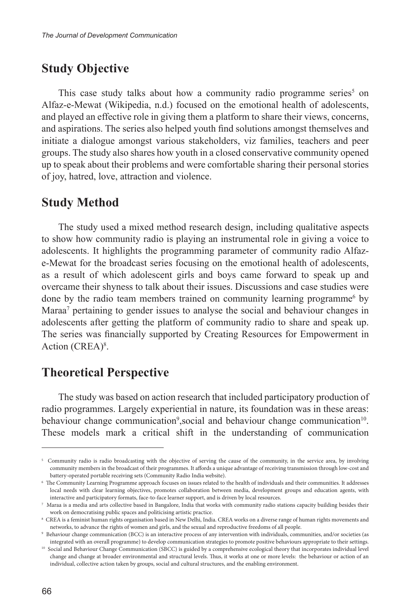# **Study Objective**

This case study talks about how a community radio programme series $5$  on Alfaz-e-Mewat (Wikipedia, n.d.) focused on the emotional health of adolescents, and played an effective role in giving them a platform to share their views, concerns, and aspirations. The series also helped youth find solutions amongst themselves and initiate a dialogue amongst various stakeholders, viz families, teachers and peer groups. The study also shares how youth in a closed conservative community opened up to speak about their problems and were comfortable sharing their personal stories of joy, hatred, love, attraction and violence.

#### **Study Method**

The study used a mixed method research design, including qualitative aspects to show how community radio is playing an instrumental role in giving a voice to adolescents. It highlights the programming parameter of community radio Alfaze-Mewat for the broadcast series focusing on the emotional health of adolescents, as a result of which adolescent girls and boys came forward to speak up and overcame their shyness to talk about their issues. Discussions and case studies were done by the radio team members trained on community learning programme<sup>6</sup> by Maraa<sup>7</sup> pertaining to gender issues to analyse the social and behaviour changes in adolescents after getting the platform of community radio to share and speak up. The series was financially supported by Creating Resources for Empowerment in Action (CREA)<sup>8</sup>.

### **Theoretical Perspective**

The study was based on action research that included participatory production of radio programmes. Largely experiential in nature, its foundation was in these areas: behaviour change communication<sup>9</sup>, social and behaviour change communication<sup>10</sup>. These models mark a critical shift in the understanding of communication

<sup>&</sup>lt;sup>5</sup> Community radio is radio broadcasting with the objective of serving the cause of the community, in the service area, by involving community members in the broadcast of their programmes. It affords a unique advantage of receiving transmission through low-cost and battery-operated portable receiving sets (Community Radio India website).

<sup>6</sup> The Community Learning Programme approach focuses on issues related to the health of individuals and their communities. It addresses local needs with clear learning objectives, promotes collaboration between media, development groups and education agents, with interactive and participatory formats, face-to-face learner support, and is driven by local resources.

 $^7$  Maraa is a media and arts collective based in Bangalore, India that works with community radio stations capacity building besides their work on democratising public spaces and politicising artistic practice.

<sup>8</sup> CREA is a feminist human rights organisation based in New Delhi, India. CREA works on a diverse range of human rights movements and networks, to advance the rights of women and girls, and the sexual and reproductive freedoms of all people.

<sup>9</sup> Behaviour change communication (BCC) is an interactive process of any intervention with individuals, communities, and/or societies (as integrated with an overall programme) to develop communication strategies to promote positive behaviours appropriate to their settings.

 $10$  Social and Behaviour Change Communication (SBCC) is guided by a comprehensive ecological theory that incorporates individual level change and change at broader environmental and structural levels. Thus, it works at one or more levels: the behaviour or action of an individual, collective action taken by groups, social and cultural structures, and the enabling environment.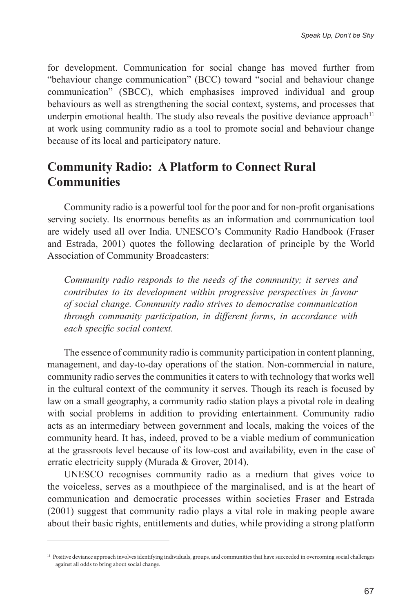for development. Communication for social change has moved further from "behaviour change communication" (BCC) toward "social and behaviour change communication" (SBCC), which emphasises improved individual and group behaviours as well as strengthening the social context, systems, and processes that underpin emotional health. The study also reveals the positive deviance approach<sup>11</sup> at work using community radio as a tool to promote social and behaviour change because of its local and participatory nature.

# **Community Radio: A Platform to Connect Rural Communities**

Community radio is a powerful tool for the poor and for non-profit organisations serving society. Its enormous benefits as an information and communication tool are widely used all over India. UNESCO's Community Radio Handbook (Fraser and Estrada, 2001) quotes the following declaration of principle by the World Association of Community Broadcasters:

*Community radio responds to the needs of the community; it serves and contributes to its development within progressive perspectives in favour of social change. Community radio strives to democratise communication through community participation, in different forms, in accordance with each specific social context.*

The essence of community radio is community participation in content planning, management, and day-to-day operations of the station. Non-commercial in nature, community radio serves the communities it caters to with technology that works well in the cultural context of the community it serves. Though its reach is focused by law on a small geography, a community radio station plays a pivotal role in dealing with social problems in addition to providing entertainment. Community radio acts as an intermediary between government and locals, making the voices of the community heard. It has, indeed, proved to be a viable medium of communication at the grassroots level because of its low-cost and availability, even in the case of erratic electricity supply (Murada & Grover, 2014).

UNESCO recognises community radio as a medium that gives voice to the voiceless, serves as a mouthpiece of the marginalised, and is at the heart of communication and democratic processes within societies Fraser and Estrada (2001) suggest that community radio plays a vital role in making people aware about their basic rights, entitlements and duties, while providing a strong platform

<sup>&</sup>lt;sup>11</sup> Positive deviance approach involves identifying individuals, groups, and communities that have succeeded in overcoming social challenges against all odds to bring about social change.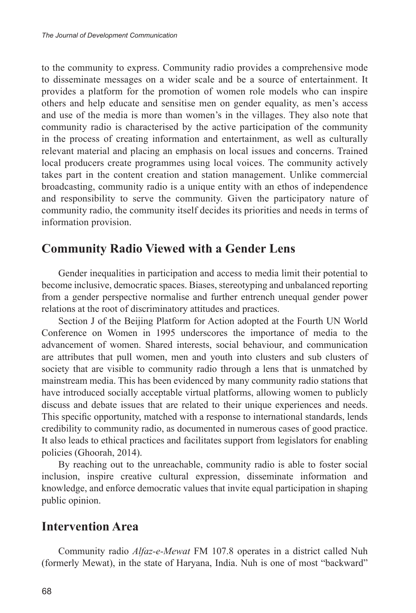to the community to express. Community radio provides a comprehensive mode to disseminate messages on a wider scale and be a source of entertainment. It provides a platform for the promotion of women role models who can inspire others and help educate and sensitise men on gender equality, as men's access and use of the media is more than women's in the villages. They also note that community radio is characterised by the active participation of the community in the process of creating information and entertainment, as well as culturally relevant material and placing an emphasis on local issues and concerns. Trained local producers create programmes using local voices. The community actively takes part in the content creation and station management. Unlike commercial broadcasting, community radio is a unique entity with an ethos of independence and responsibility to serve the community. Given the participatory nature of community radio, the community itself decides its priorities and needs in terms of information provision.

#### **Community Radio Viewed with a Gender Lens**

Gender inequalities in participation and access to media limit their potential to become inclusive, democratic spaces. Biases, stereotyping and unbalanced reporting from a gender perspective normalise and further entrench unequal gender power relations at the root of discriminatory attitudes and practices.

Section J of the Beijing Platform for Action adopted at the Fourth UN World Conference on Women in 1995 underscores the importance of media to the advancement of women. Shared interests, social behaviour, and communication are attributes that pull women, men and youth into clusters and sub clusters of society that are visible to community radio through a lens that is unmatched by mainstream media. This has been evidenced by many community radio stations that have introduced socially acceptable virtual platforms, allowing women to publicly discuss and debate issues that are related to their unique experiences and needs. This specific opportunity, matched with a response to international standards, lends credibility to community radio, as documented in numerous cases of good practice. It also leads to ethical practices and facilitates support from legislators for enabling policies (Ghoorah, 2014).

By reaching out to the unreachable, community radio is able to foster social inclusion, inspire creative cultural expression, disseminate information and knowledge, and enforce democratic values that invite equal participation in shaping public opinion.

#### **Intervention Area**

Community radio *Alfaz-e-Mewat* FM 107.8 operates in a district called Nuh (formerly Mewat), in the state of Haryana, India. Nuh is one of most "backward"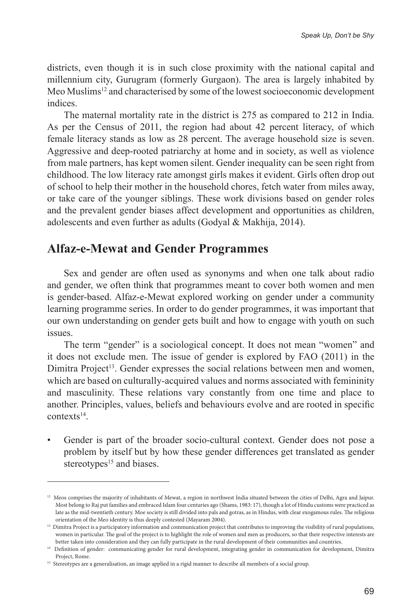districts, even though it is in such close proximity with the national capital and millennium city, Gurugram (formerly Gurgaon). The area is largely inhabited by Meo Muslims<sup>12</sup> and characterised by some of the lowest socioeconomic development indices.

The maternal mortality rate in the district is 275 as compared to 212 in India. As per the Census of 2011, the region had about 42 percent literacy, of which female literacy stands as low as 28 percent. The average household size is seven. Aggressive and deep-rooted patriarchy at home and in society, as well as violence from male partners, has kept women silent. Gender inequality can be seen right from childhood. The low literacy rate amongst girls makes it evident. Girls often drop out of school to help their mother in the household chores, fetch water from miles away, or take care of the younger siblings. These work divisions based on gender roles and the prevalent gender biases affect development and opportunities as children, adolescents and even further as adults (Godyal & Makhija, 2014).

#### **Alfaz-e-Mewat and Gender Programmes**

Sex and gender are often used as synonyms and when one talk about radio and gender, we often think that programmes meant to cover both women and men is gender-based. Alfaz-e-Mewat explored working on gender under a community learning programme series. In order to do gender programmes, it was important that our own understanding on gender gets built and how to engage with youth on such issues.

The term "gender" is a sociological concept. It does not mean "women" and it does not exclude men. The issue of gender is explored by FAO (2011) in the Dimitra Project<sup>13</sup>. Gender expresses the social relations between men and women, which are based on culturally-acquired values and norms associated with femininity and masculinity. These relations vary constantly from one time and place to another. Principles, values, beliefs and behaviours evolve and are rooted in specific contexts<sup>14</sup>.

• Gender is part of the broader socio-cultural context. Gender does not pose a problem by itself but by how these gender differences get translated as gender stereotypes<sup>15</sup> and biases.

<sup>&</sup>lt;sup>12</sup> Meos comprises the majority of inhabitants of Mewat, a region in northwest India situated between the cities of Delhi, Agra and Jaipur. Most belong to Raj put families and embraced Islam four centuries ago (Shams, 1983: 17), though a lot of Hindu customs were practiced as late as the mid-twentieth century. Moe society is still divided into pals and gotras, as in Hindus, with clear exogamous rules. The religious orientation of the Meo identity is thus deeply contested (Mayaram 2004).

<sup>&</sup>lt;sup>13</sup> Dimitra Project is a participatory information and communication project that contributes to improving the visibility of rural populations, women in particular. The goal of the project is to highlight the role of women and men as producers, so that their respective interests are better taken into consideration and they can fully participate in the rural development of their communities and countries.

<sup>14</sup> Definition of gender: communicating gender for rural development, integrating gender in communication for development, Dimitra Project, Rome.

<sup>&</sup>lt;sup>15</sup> Stereotypes are a generalisation, an image applied in a rigid manner to describe all members of a social group.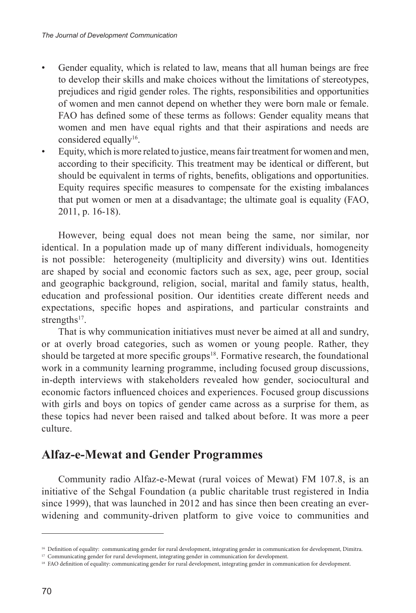- Gender equality, which is related to law, means that all human beings are free to develop their skills and make choices without the limitations of stereotypes, prejudices and rigid gender roles. The rights, responsibilities and opportunities of women and men cannot depend on whether they were born male or female. FAO has defined some of these terms as follows: Gender equality means that women and men have equal rights and that their aspirations and needs are considered equally<sup>16</sup>.
- Equity, which is more related to justice, means fair treatment for women and men, according to their specificity. This treatment may be identical or different, but should be equivalent in terms of rights, benefits, obligations and opportunities. Equity requires specific measures to compensate for the existing imbalances that put women or men at a disadvantage; the ultimate goal is equality (FAO, 2011, p. 16-18).

However, being equal does not mean being the same, nor similar, nor identical. In a population made up of many different individuals, homogeneity is not possible: heterogeneity (multiplicity and diversity) wins out. Identities are shaped by social and economic factors such as sex, age, peer group, social and geographic background, religion, social, marital and family status, health, education and professional position. Our identities create different needs and expectations, specific hopes and aspirations, and particular constraints and strengths $17$ .

That is why communication initiatives must never be aimed at all and sundry, or at overly broad categories, such as women or young people. Rather, they should be targeted at more specific groups<sup>18</sup>. Formative research, the foundational work in a community learning programme, including focused group discussions, in-depth interviews with stakeholders revealed how gender, sociocultural and economic factors influenced choices and experiences. Focused group discussions with girls and boys on topics of gender came across as a surprise for them, as these topics had never been raised and talked about before. It was more a peer culture.

# **Alfaz-e-Mewat and Gender Programmes**

Community radio Alfaz-e-Mewat (rural voices of Mewat) FM 107.8, is an initiative of the Sehgal Foundation (a public charitable trust registered in India since 1999), that was launched in 2012 and has since then been creating an everwidening and community-driven platform to give voice to communities and

<sup>&</sup>lt;sup>16</sup> Definition of equality: communicating gender for rural development, integrating gender in communication for development, Dimitra.

<sup>&</sup>lt;sup>17</sup> Communicating gender for rural development, integrating gender in communication for development.

<sup>&</sup>lt;sup>18</sup> FAO definition of equality: communicating gender for rural development, integrating gender in communication for development.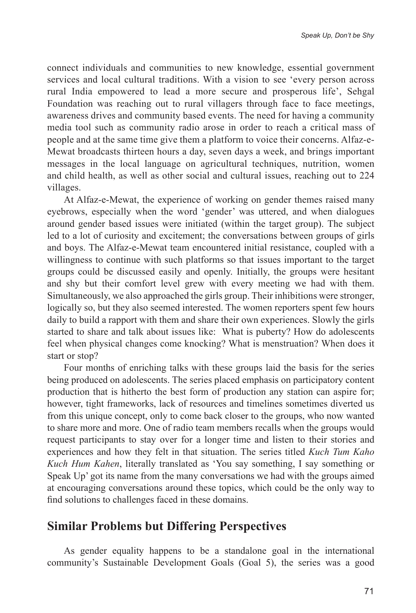connect individuals and communities to new knowledge, essential government services and local cultural traditions. With a vision to see 'every person across rural India empowered to lead a more secure and prosperous life', Sehgal Foundation was reaching out to rural villagers through face to face meetings, awareness drives and community based events. The need for having a community media tool such as community radio arose in order to reach a critical mass of people and at the same time give them a platform to voice their concerns. Alfaz-e-Mewat broadcasts thirteen hours a day, seven days a week, and brings important messages in the local language on agricultural techniques, nutrition, women and child health, as well as other social and cultural issues, reaching out to 224 villages.

At Alfaz-e-Mewat, the experience of working on gender themes raised many eyebrows, especially when the word 'gender' was uttered, and when dialogues around gender based issues were initiated (within the target group). The subject led to a lot of curiosity and excitement; the conversations between groups of girls and boys. The Alfaz-e-Mewat team encountered initial resistance, coupled with a willingness to continue with such platforms so that issues important to the target groups could be discussed easily and openly. Initially, the groups were hesitant and shy but their comfort level grew with every meeting we had with them. Simultaneously, we also approached the girls group. Their inhibitions were stronger, logically so, but they also seemed interested. The women reporters spent few hours daily to build a rapport with them and share their own experiences. Slowly the girls started to share and talk about issues like: What is puberty? How do adolescents feel when physical changes come knocking? What is menstruation? When does it start or stop?

Four months of enriching talks with these groups laid the basis for the series being produced on adolescents. The series placed emphasis on participatory content production that is hitherto the best form of production any station can aspire for; however, tight frameworks, lack of resources and timelines sometimes diverted us from this unique concept, only to come back closer to the groups, who now wanted to share more and more. One of radio team members recalls when the groups would request participants to stay over for a longer time and listen to their stories and experiences and how they felt in that situation. The series titled *Kuch Tum Kaho Kuch Hum Kahen*, literally translated as 'You say something, I say something or Speak Up' got its name from the many conversations we had with the groups aimed at encouraging conversations around these topics, which could be the only way to find solutions to challenges faced in these domains.

#### **Similar Problems but Differing Perspectives**

As gender equality happens to be a standalone goal in the international community's Sustainable Development Goals (Goal 5), the series was a good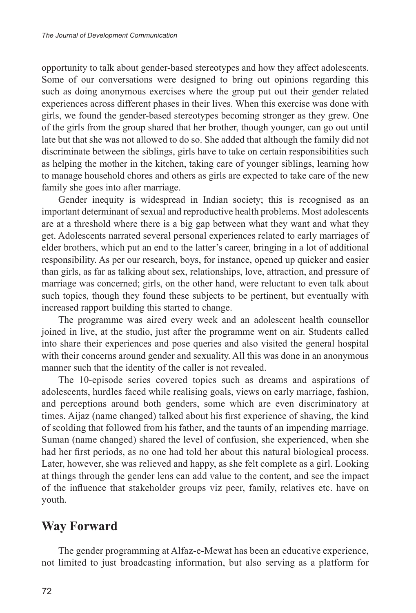opportunity to talk about gender-based stereotypes and how they affect adolescents. Some of our conversations were designed to bring out opinions regarding this such as doing anonymous exercises where the group put out their gender related experiences across different phases in their lives. When this exercise was done with girls, we found the gender-based stereotypes becoming stronger as they grew. One of the girls from the group shared that her brother, though younger, can go out until late but that she was not allowed to do so. She added that although the family did not discriminate between the siblings, girls have to take on certain responsibilities such as helping the mother in the kitchen, taking care of younger siblings, learning how to manage household chores and others as girls are expected to take care of the new family she goes into after marriage.

Gender inequity is widespread in Indian society; this is recognised as an important determinant of sexual and reproductive health problems. Most adolescents are at a threshold where there is a big gap between what they want and what they get. Adolescents narrated several personal experiences related to early marriages of elder brothers, which put an end to the latter's career, bringing in a lot of additional responsibility. As per our research, boys, for instance, opened up quicker and easier than girls, as far as talking about sex, relationships, love, attraction, and pressure of marriage was concerned; girls, on the other hand, were reluctant to even talk about such topics, though they found these subjects to be pertinent, but eventually with increased rapport building this started to change.

The programme was aired every week and an adolescent health counsellor joined in live, at the studio, just after the programme went on air. Students called into share their experiences and pose queries and also visited the general hospital with their concerns around gender and sexuality. All this was done in an anonymous manner such that the identity of the caller is not revealed.

The 10-episode series covered topics such as dreams and aspirations of adolescents, hurdles faced while realising goals, views on early marriage, fashion, and perceptions around both genders, some which are even discriminatory at times. Aijaz (name changed) talked about his first experience of shaving, the kind of scolding that followed from his father, and the taunts of an impending marriage. Suman (name changed) shared the level of confusion, she experienced, when she had her first periods, as no one had told her about this natural biological process. Later, however, she was relieved and happy, as she felt complete as a girl. Looking at things through the gender lens can add value to the content, and see the impact of the influence that stakeholder groups viz peer, family, relatives etc. have on youth.

### **Way Forward**

The gender programming at Alfaz-e-Mewat has been an educative experience, not limited to just broadcasting information, but also serving as a platform for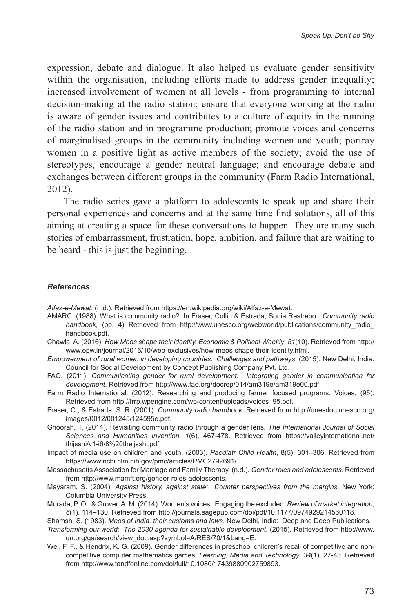expression, debate and dialogue. It also helped us evaluate gender sensitivity within the organisation, including efforts made to address gender inequality; increased involvement of women at all levels - from programming to internal decision-making at the radio station; ensure that everyone working at the radio is aware of gender issues and contributes to a culture of equity in the running of the radio station and in programme production; promote voices and concerns of marginalised groups in the community including women and youth; portray women in a positive light as active members of the society; avoid the use of stereotypes, encourage a gender neutral language; and encourage debate and exchanges between different groups in the community (Farm Radio International, 2012).

The radio series gave a platform to adolescents to speak up and share their personal experiences and concerns and at the same time find solutions, all of this aiming at creating a space for these conversations to happen. They are many such stories of embarrassment, frustration, hope, ambition, and failure that are waiting to be heard - this is just the beginning.

#### *References*

*Alfaz-e-Mewat*. (n.d.). Retrieved from https://en.wikipedia.org/wiki/Alfaz-e-Mewat.

- AMARC. (1988). What is community radio?. In Fraser, Collin & Estrada, Sonia Restrepo. *Community radio*  handbook, (pp. 4) Retrieved from http://www.unesco.org/webworld/publications/community radio handbook.pdf.
- Chawla, A. (2016). *How Meos shape their identity. Economic & Political Weekly*, *51*(10). Retrieved from http:// www.epw.in/journal/2016/10/web-exclusives/how-meos-shape-their-identity.html.
- *Empowerment of rural women in developing countries: Challenges and pathways*. (2015). New Delhi, India: Council for Social Development by Concept Publishing Company Pvt. Ltd.
- FAO. (2011). *Communicating gender for rural development: Integrating gender in communication for development*. Retrieved from http://www.fao.org/docrep/014/am319e/am319e00.pdf.

Farm Radio International. (2012). Researching and producing farmer focused programs. Voices, (95). Retrieved from http://frrp.wpengine.com/wp-content/uploads/voices\_95.pdf.

- Fraser, C., & Estrada, S. R. (2001). *Community radio handbook*. Retrieved from http://unesdoc.unesco.org/ images/0012/001245/124595e.pdf.
- Ghoorah, T. (2014). Revisiting community radio through a gender lens. *The International Journal of Social Sciences and Humanities Invention*, *1*(6), 467-478. Retrieved from https://valleyinternational.net/ thijsshi/v1-i6/8%20theijsshi.pdf.
- Impact of media use on children and youth. (2003). *Paediatr Child Health*, 8(5), 301–306. Retrieved from https://www.ncbi.nlm.nih.gov/pmc/articles/PMC2792691/.
- Massachusetts Association for Marriage and Family Therapy. (n.d.). *Gender roles and adolescents*. Retrieved from http://www.mamft.org/gender-roles-adolescents.
- Mayaram, S. (2004). *Against history, against state: Counter perspectives from the margins*. New York: Columbia University Press.
- Murada, P. O., & Grover, A. M. (2014). Women's voices: Engaging the excluded. *Review of market integration*, *6*(1), 114–130. Retrieved from http://journals.sagepub.com/doi/pdf/10.1177/0974929214560118.
- Shamsh, S. (1983). *Meos of India, their customs and laws*. New Delhi, India: Deep and Deep Publications.

*Transforming our world: The 2030 agenda for sustainable development*. (2015). Retrieved from http://www. un.org/ga/search/view\_doc.asp?symbol=A/RES/70/1&Lang=E.

Wei, F. F., & Hendrix, K. G. (2009). Gender differences in preschool children's recall of competitive and noncompetitive computer mathematics games. *Learning, Media and Technology*, *34*(1), 27-43. Retrieved from http://www.tandfonline.com/doi/full/10.1080/17439880902759893.